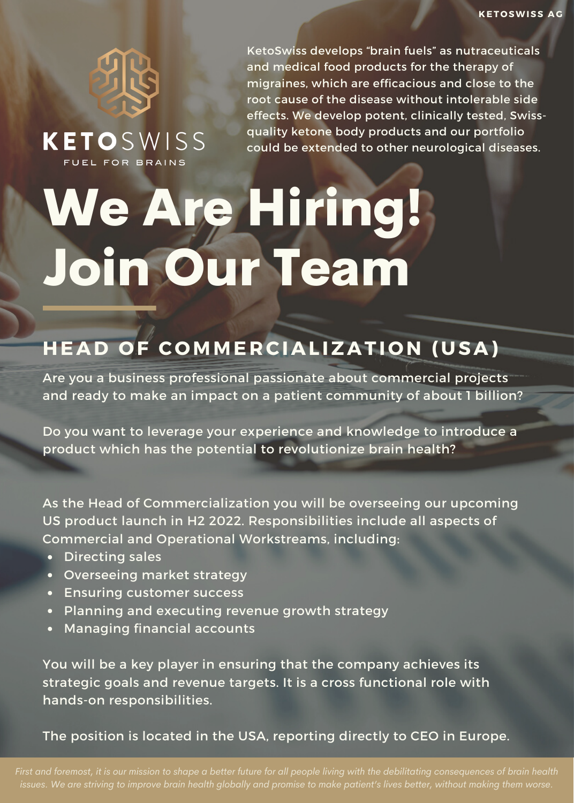

**KETO**SWISS

KetoSwiss develops "brain fuels" as nutraceuticals and medical food products for the therapy of migraines, which are efficacious and close to the root cause of the disease without intolerable side effects. We develop potent, clinically tested, Swissquality ketone body products and our portfolio could be extended to other neurological diseases.

# We Are Hiring! Join Our Team

## **HEAD OF COMMERCIALIZATION (USA)**

Are you a business professional passionate about commercial projects and ready to make an impact on a patient community of about 1 billion?

Do you want to leverage your experience and knowledge to introduce a product which has the potential to revolutionize brain health?

As the Head of Commercialization you will be overseeing our upcoming US product launch in H2 2022. Responsibilities include all aspects of Commercial and Operational Workstreams, including:

- Directing sales
- Overseeing market strategy
- Ensuring customer success
- Planning and executing revenue growth strategy
- Managing financial accounts

You will be a key player in ensuring that the company achieves its strategic goals and revenue targets. It is a cross functional role with hands-on responsibilities.

The position is located in the USA, reporting directly to CEO in Europe.